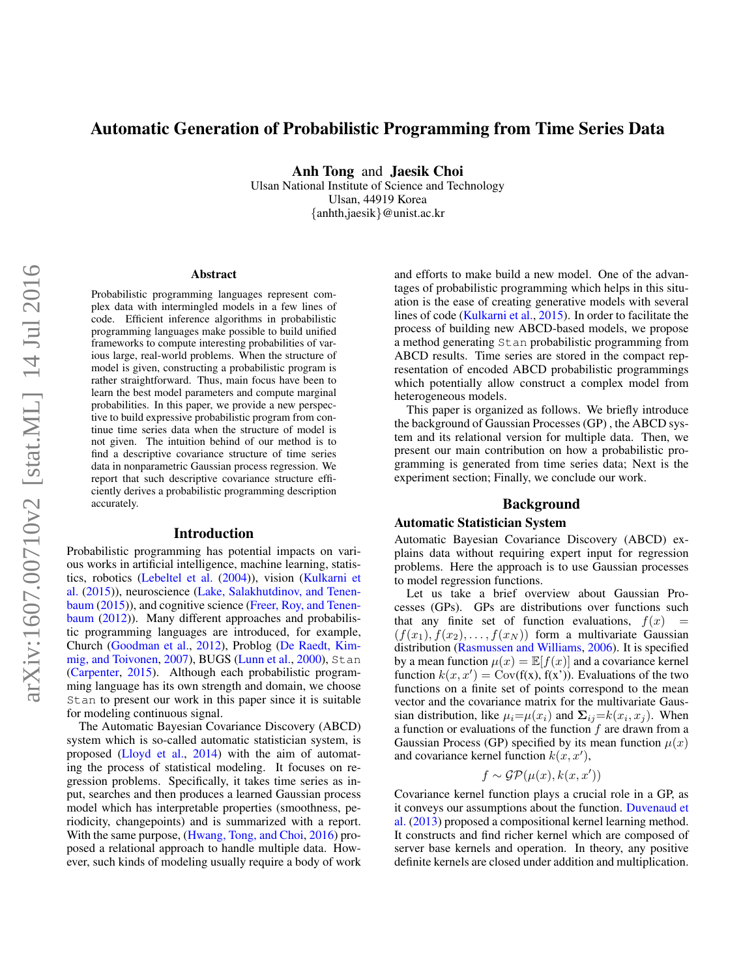# Automatic Generation of Probabilistic Programming from Time Series Data

Anh Tong and Jaesik Choi

Ulsan National Institute of Science and Technology Ulsan, 44919 Korea {anhth,jaesik}@unist.ac.kr

#### Abstract

Probabilistic programming languages represent complex data with intermingled models in a few lines of code. Efficient inference algorithms in probabilistic programming languages make possible to build unified frameworks to compute interesting probabilities of various large, real-world problems. When the structure of model is given, constructing a probabilistic program is rather straightforward. Thus, main focus have been to learn the best model parameters and compute marginal probabilities. In this paper, we provide a new perspective to build expressive probabilistic program from continue time series data when the structure of model is not given. The intuition behind of our method is to find a descriptive covariance structure of time series data in nonparametric Gaussian process regression. We report that such descriptive covariance structure efficiently derives a probabilistic programming description accurately.

#### Introduction

Probabilistic programming has potential impacts on various works in artificial intelligence, machine learning, statistics, robotics [\(Lebeltel et al.](#page-6-0) [\(2004\)](#page-6-0)), vision [\(Kulkarni et](#page-6-1) [al.](#page-6-1) [\(2015\)](#page-6-1)), neuroscience [\(Lake, Salakhutdinov, and Tenen](#page-6-2)[baum](#page-6-2) [\(2015\)](#page-6-2)), and cognitive science [\(Freer, Roy, and Tenen](#page-5-0)[baum](#page-5-0) [\(2012\)](#page-5-0)). Many different approaches and probabilistic programming languages are introduced, for example, Church [\(Goodman et al.,](#page-5-1) [2012\)](#page-5-1), Problog [\(De Raedt, Kim](#page-5-2)[mig, and Toivonen,](#page-5-2) [2007\)](#page-5-2), BUGS [\(Lunn et al.,](#page-6-3) [2000\)](#page-6-3), Stan [\(Carpenter,](#page-5-3) [2015\)](#page-5-3). Although each probabilistic programming language has its own strength and domain, we choose Stan to present our work in this paper since it is suitable for modeling continuous signal.

The Automatic Bayesian Covariance Discovery (ABCD) system which is so-called automatic statistician system, is proposed [\(Lloyd et al.,](#page-6-4) [2014\)](#page-6-4) with the aim of automating the process of statistical modeling. It focuses on regression problems. Specifically, it takes time series as input, searches and then produces a learned Gaussian process model which has interpretable properties (smoothness, periodicity, changepoints) and is summarized with a report. With the same purpose, [\(Hwang, Tong, and Choi,](#page-6-5) [2016\)](#page-6-5) proposed a relational approach to handle multiple data. However, such kinds of modeling usually require a body of work and efforts to make build a new model. One of the advantages of probabilistic programming which helps in this situation is the ease of creating generative models with several lines of code [\(Kulkarni et al.,](#page-6-1) [2015\)](#page-6-1). In order to facilitate the process of building new ABCD-based models, we propose a method generating Stan probabilistic programming from ABCD results. Time series are stored in the compact representation of encoded ABCD probabilistic programmings which potentially allow construct a complex model from heterogeneous models.

This paper is organized as follows. We briefly introduce the background of Gaussian Processes (GP) , the ABCD system and its relational version for multiple data. Then, we present our main contribution on how a probabilistic programming is generated from time series data; Next is the experiment section; Finally, we conclude our work.

#### Background

### Automatic Statistician System

Automatic Bayesian Covariance Discovery (ABCD) explains data without requiring expert input for regression problems. Here the approach is to use Gaussian processes to model regression functions.

Let us take a brief overview about Gaussian Processes (GPs). GPs are distributions over functions such that any finite set of function evaluations,  $f(x) =$  $(f(x_1), f(x_2), \ldots, f(x_N))$  form a multivariate Gaussian distribution [\(Rasmussen and Williams,](#page-6-6) [2006\)](#page-6-6). It is specified by a mean function  $\mu(x) = \mathbb{E}[f(x)]$  and a covariance kernel function  $k(x, x') = Cov(f(x), f(x'))$ . Evaluations of the two functions on a finite set of points correspond to the mean vector and the covariance matrix for the multivariate Gaussian distribution, like  $\mu_i = \mu(x_i)$  and  $\Sigma_{ij} = k(x_i, x_j)$ . When a function or evaluations of the function  $f$  are drawn from a Gaussian Process (GP) specified by its mean function  $\mu(x)$ and covariance kernel function  $k(x, x')$ ,

$$
f \sim \mathcal{GP}(\mu(x), k(x, x'))
$$

Covariance kernel function plays a crucial role in a GP, as it conveys our assumptions about the function. [Duvenaud et](#page-5-4) [al.](#page-5-4) [\(2013\)](#page-5-4) proposed a compositional kernel learning method. It constructs and find richer kernel which are composed of server base kernels and operation. In theory, any positive definite kernels are closed under addition and multiplication.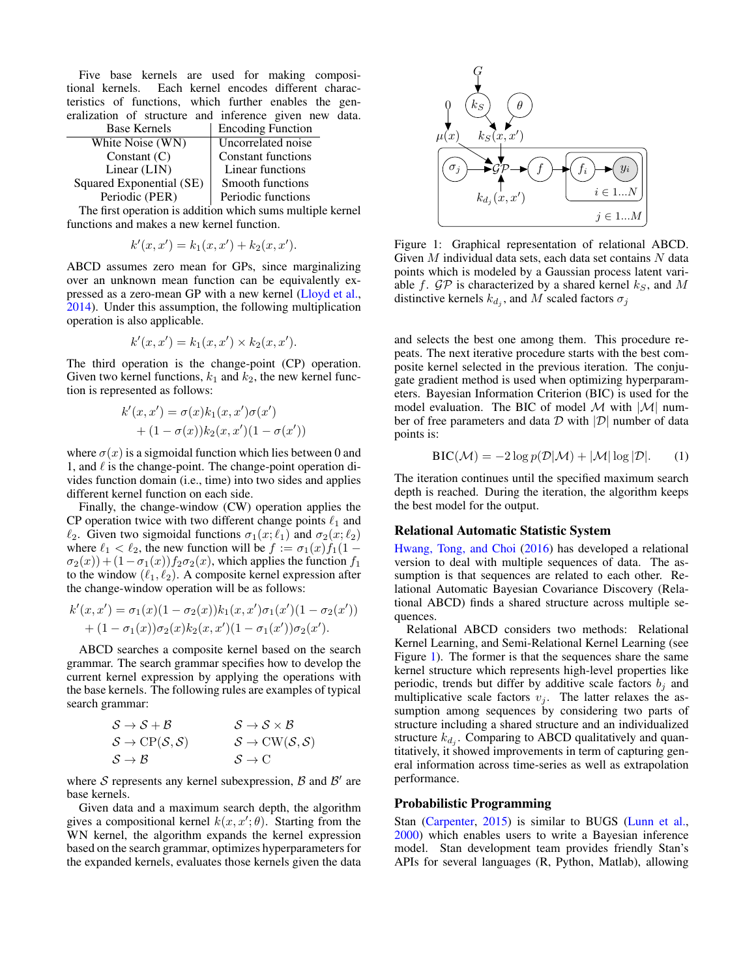Five base kernels are used for making compositional kernels. Each kernel encodes different characteristics of functions, which further enables the generalization of structure and inference given new data.<br> **Example 1** Francisco Euration

| <b>Base Kernels</b>      | <b>Encoding Function</b>  |
|--------------------------|---------------------------|
| White Noise (WN)         | Uncorrelated noise        |
| Constant $(C)$           | <b>Constant functions</b> |
| Linear (LIN)             | Linear functions          |
| Squared Exponential (SE) | Smooth functions          |
| Periodic (PER)           | Periodic functions        |

The first operation is addition which sums multiple kernel functions and makes a new kernel function.

$$
k'(x, x') = k_1(x, x') + k_2(x, x').
$$

ABCD assumes zero mean for GPs, since marginalizing over an unknown mean function can be equivalently expressed as a zero-mean GP with a new kernel [\(Lloyd et al.,](#page-6-4) [2014\)](#page-6-4). Under this assumption, the following multiplication operation is also applicable.

$$
k'(x, x') = k_1(x, x') \times k_2(x, x').
$$

The third operation is the change-point (CP) operation. Given two kernel functions,  $k_1$  and  $k_2$ , the new kernel function is represented as follows:

$$
k'(x, x') = \sigma(x)k_1(x, x')\sigma(x')
$$
  
+ (1 - \sigma(x))k\_2(x, x')(1 - \sigma(x'))

where  $\sigma(x)$  is a sigmoidal function which lies between 0 and 1, and  $\ell$  is the change-point. The change-point operation divides function domain (i.e., time) into two sides and applies different kernel function on each side.

Finally, the change-window (CW) operation applies the CP operation twice with two different change points  $\ell_1$  and  $\ell_2$ . Given two sigmoidal functions  $\sigma_1(x; \ell_1)$  and  $\sigma_2(x; \ell_2)$ where  $\ell_1 < \ell_2$ , the new function will be  $f := \sigma_1(x) f_1(1 \sigma_2(x)$ ) +  $(1 - \sigma_1(x))f_2\sigma_2(x)$ , which applies the function  $f_1$ to the window  $(\ell_1, \ell_2)$ . A composite kernel expression after the change-window operation will be as follows:

$$
k'(x, x') = \sigma_1(x)(1 - \sigma_2(x))k_1(x, x')\sigma_1(x')(1 - \sigma_2(x'))+ (1 - \sigma_1(x))\sigma_2(x)k_2(x, x')(1 - \sigma_1(x'))\sigma_2(x').
$$

ABCD searches a composite kernel based on the search grammar. The search grammar specifies how to develop the current kernel expression by applying the operations with the base kernels. The following rules are examples of typical search grammar:

$$
S \to S + B \nS \to CP(S, S) \nS \to B
$$
\n
$$
S \to CW(S, S) \nS \to C
$$

where  $S$  represents any kernel subexpression,  $B$  and  $B'$  are base kernels.

Given data and a maximum search depth, the algorithm gives a compositional kernel  $k(x, x'; \theta)$ . Starting from the WN kernel, the algorithm expands the kernel expression based on the search grammar, optimizes hyperparameters for the expanded kernels, evaluates those kernels given the data

<span id="page-1-0"></span>

Figure 1: Graphical representation of relational ABCD. Given  $M$  individual data sets, each data set contains  $N$  data points which is modeled by a Gaussian process latent variable f.  $\mathcal{GP}$  is characterized by a shared kernel  $k_S$ , and M distinctive kernels  $k_{d_j}$ , and M scaled factors  $\sigma_j$ 

and selects the best one among them. This procedure repeats. The next iterative procedure starts with the best composite kernel selected in the previous iteration. The conjugate gradient method is used when optimizing hyperparameters. Bayesian Information Criterion (BIC) is used for the model evaluation. The BIC of model  $\mathcal M$  with  $|\mathcal M|$  number of free parameters and data  $\mathcal D$  with  $|\mathcal D|$  number of data points is:

$$
BIC(\mathcal{M}) = -2\log p(\mathcal{D}|\mathcal{M}) + |\mathcal{M}| \log |\mathcal{D}|.
$$
 (1)

The iteration continues until the specified maximum search depth is reached. During the iteration, the algorithm keeps the best model for the output.

#### Relational Automatic Statistic System

[Hwang, Tong, and Choi](#page-6-5) [\(2016\)](#page-6-5) has developed a relational version to deal with multiple sequences of data. The assumption is that sequences are related to each other. Relational Automatic Bayesian Covariance Discovery (Relational ABCD) finds a shared structure across multiple sequences.

Relational ABCD considers two methods: Relational Kernel Learning, and Semi-Relational Kernel Learning (see Figure [1\)](#page-1-0). The former is that the sequences share the same kernel structure which represents high-level properties like periodic, trends but differ by additive scale factors  $b_j$  and multiplicative scale factors  $v_j$ . The latter relaxes the assumption among sequences by considering two parts of structure including a shared structure and an individualized structure  $k_{d_j}$ . Comparing to ABCD qualitatively and quantitatively, it showed improvements in term of capturing general information across time-series as well as extrapolation performance.

#### Probabilistic Programming

Stan [\(Carpenter,](#page-5-3) [2015\)](#page-5-3) is similar to BUGS [\(Lunn et al.,](#page-6-3) [2000\)](#page-6-3) which enables users to write a Bayesian inference model. Stan development team provides friendly Stan's APIs for several languages (R, Python, Matlab), allowing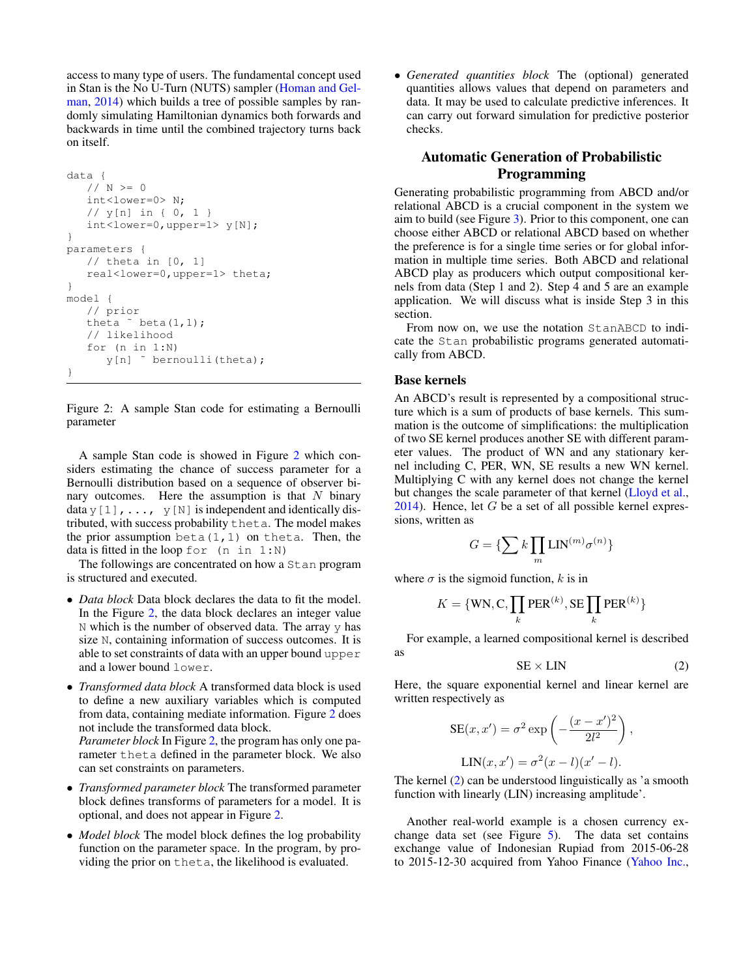access to many type of users. The fundamental concept used in Stan is the No U-Turn (NUTS) sampler [\(Homan and Gel](#page-6-7)[man,](#page-6-7) [2014\)](#page-6-7) which builds a tree of possible samples by randomly simulating Hamiltonian dynamics both forwards and backwards in time until the combined trajectory turns back on itself.

```
data {
   // N > = 0int<lower=0> N;
   // y[n] in { 0, 1 }
   int<lower=0,upper=1> y[N];
}
parameters {
   // theta in [0, 1]real<lower=0,upper=1> theta;
}
model {
   // prior
   theta \degree beta(1,1);
   // likelihood
   for (n in 1:N)
      y[n] ˜ bernoulli(theta);
}
```
Figure 2: A sample Stan code for estimating a Bernoulli parameter

A sample Stan code is showed in Figure [2](#page-2-0) which considers estimating the chance of success parameter for a Bernoulli distribution based on a sequence of observer binary outcomes. Here the assumption is that  $N$  binary data y [1],  $\dots$ , y [N] is independent and identically distributed, with success probability theta. The model makes the prior assumption beta $(1,1)$  on theta. Then, the data is fitted in the loop for  $(n \text{ in } 1:N)$ 

The followings are concentrated on how a Stan program is structured and executed.

- *Data block* Data block declares the data to fit the model. In the Figure [2,](#page-2-0) the data block declares an integer value  $N$  which is the number of observed data. The array  $y$  has size N, containing information of success outcomes. It is able to set constraints of data with an upper bound upper and a lower bound lower.
- *Transformed data block* A transformed data block is used to define a new auxiliary variables which is computed from data, containing mediate information. Figure [2](#page-2-0) does not include the transformed data block. *Parameter block* In Figure [2,](#page-2-0) the program has only one parameter theta defined in the parameter block. We also
- *Transformed parameter block* The transformed parameter block defines transforms of parameters for a model. It is optional, and does not appear in Figure [2.](#page-2-0)

can set constraints on parameters.

• *Model block* The model block defines the log probability function on the parameter space. In the program, by providing the prior on theta, the likelihood is evaluated.

• *Generated quantities block* The (optional) generated quantities allows values that depend on parameters and data. It may be used to calculate predictive inferences. It can carry out forward simulation for predictive posterior checks.

# Automatic Generation of Probabilistic Programming

Generating probabilistic programming from ABCD and/or relational ABCD is a crucial component in the system we aim to build (see Figure [3\)](#page-3-0). Prior to this component, one can choose either ABCD or relational ABCD based on whether the preference is for a single time series or for global information in multiple time series. Both ABCD and relational ABCD play as producers which output compositional kernels from data (Step 1 and 2). Step 4 and 5 are an example application. We will discuss what is inside Step 3 in this section.

From now on, we use the notation StanABCD to indicate the Stan probabilistic programs generated automatically from ABCD.

#### Base kernels

An ABCD's result is represented by a compositional structure which is a sum of products of base kernels. This summation is the outcome of simplifications: the multiplication of two SE kernel produces another SE with different parameter values. The product of WN and any stationary kernel including C, PER, WN, SE results a new WN kernel. Multiplying C with any kernel does not change the kernel but changes the scale parameter of that kernel [\(Lloyd et al.,](#page-6-4)  $2014$ ). Hence, let G be a set of all possible kernel expressions, written as

$$
G=\{\sum k\prod_m {\rm LIN}^{(m)}\sigma^{(n)}\}
$$

where  $\sigma$  is the sigmoid function, k is in

$$
K = \{\text{WN}, \text{C}, \prod_k \text{PER}^{(k)}, \text{SE} \prod_k \text{PER}^{(k)}\}
$$

For example, a learned compositional kernel is described as

<span id="page-2-1"></span>
$$
SE \times LIN
$$
 (2)

Here, the square exponential kernel and linear kernel are written respectively as

$$
SE(x, x') = \sigma^2 \exp\left(-\frac{(x - x')^2}{2l^2}\right),
$$

$$
LIN(x, x') = \sigma^2(x - l)(x' - l).
$$

The kernel [\(2\)](#page-2-1) can be understood linguistically as 'a smooth function with linearly (LIN) increasing amplitude'.

Another real-world example is a chosen currency exchange data set (see Figure [5\)](#page-4-0). The data set contains exchange value of Indonesian Rupiad from 2015-06-28 to 2015-12-30 acquired from Yahoo Finance [\(Yahoo Inc.,](#page-6-8)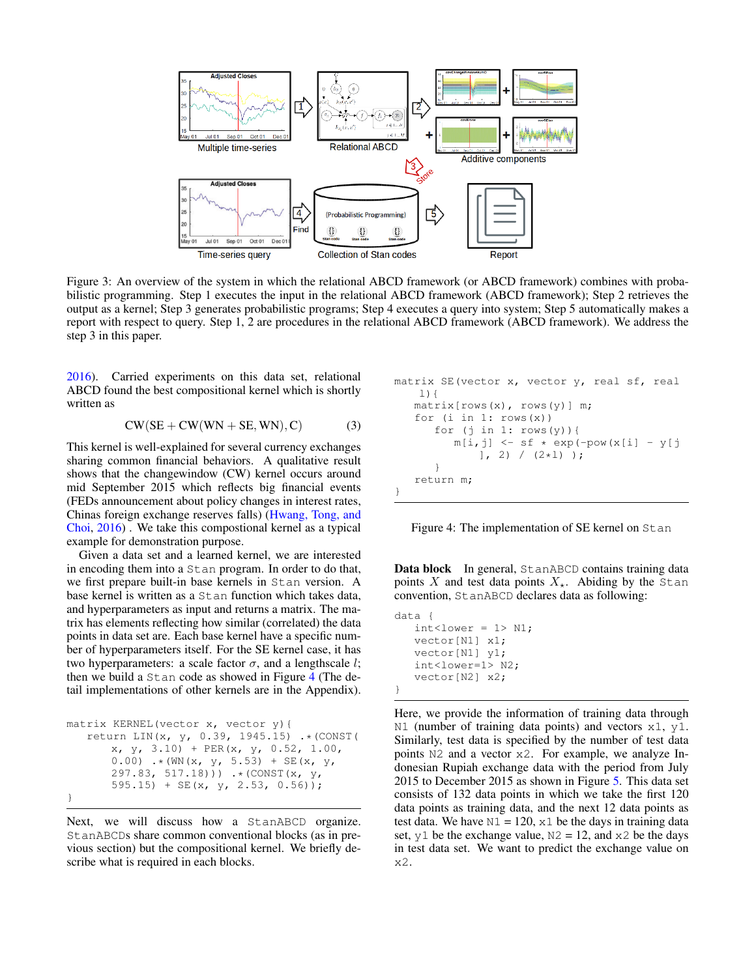<span id="page-3-0"></span>

Figure 3: An overview of the system in which the relational ABCD framework (or ABCD framework) combines with probabilistic programming. Step 1 executes the input in the relational ABCD framework (ABCD framework); Step 2 retrieves the output as a kernel; Step 3 generates probabilistic programs; Step 4 executes a query into system; Step 5 automatically makes a report with respect to query. Step 1, 2 are procedures in the relational ABCD framework (ABCD framework). We address the step 3 in this paper.

[2016\)](#page-6-8). Carried experiments on this data set, relational ABCD found the best compositional kernel which is shortly written as

$$
CW(SE + CW(WN + SE, WN), C)
$$
 (3)

This kernel is well-explained for several currency exchanges sharing common financial behaviors. A qualitative result shows that the changewindow (CW) kernel occurs around mid September 2015 which reflects big financial events (FEDs announcement about policy changes in interest rates, Chinas foreign exchange reserves falls) [\(Hwang, Tong, and](#page-6-5) [Choi,](#page-6-5) [2016\)](#page-6-5) . We take this compostional kernel as a typical example for demonstration purpose.

Given a data set and a learned kernel, we are interested in encoding them into a Stan program. In order to do that, we first prepare built-in base kernels in Stan version. A base kernel is written as a Stan function which takes data, and hyperparameters as input and returns a matrix. The matrix has elements reflecting how similar (correlated) the data points in data set are. Each base kernel have a specific number of hyperparameters itself. For the SE kernel case, it has two hyperparameters: a scale factor  $\sigma$ , and a lengthscale l; then we build a Stan code as showed in Figure [4](#page-3-1) (The detail implementations of other kernels are in the Appendix).

```
matrix KERNEL(vector x, vector y){
   return LIN(x, y, 0.39, 1945.15) .* (CONST(
       x, y, 3.10) + PER(x, y, 0.52, 1.00,
       0.00) \cdot * (WN(x, y, 5.53) + SE(x, y,
       297.83, 517.18)) \cdot (CONST(x, y,
       595.15) + SE(x, y, 2.53, 0.56));
}
```
Next, we will discuss how a StanABCD organize. StanABCDs share common conventional blocks (as in previous section) but the compositional kernel. We briefly describe what is required in each blocks.

<span id="page-3-1"></span>

| matrix SE(vector x, vector y, real sf, real |
|---------------------------------------------|
| $1)$ {                                      |
| $matrix[rows(x), rows(y)]$ m;               |
| for $(i \text{ in } 1: \text{rows}(x))$     |
| for $(i \in 1: rows(y))$ {                  |
| $m[i, j]$ <- sf * exp(-pow(x[i] - y[j       |
| $1, 2) / (2 * 1)$ ;                         |
|                                             |
| return m;                                   |
|                                             |

Figure 4: The implementation of SE kernel on Stan

Data block In general, StanABCD contains training data points X and test data points  $X_{\star}$ . Abiding by the Stan convention, StanABCD declares data as following:

```
data {
   int < lower = 1> N1;
   vector[N1] x1;
   vector[N1] y1;
   int<lower=1> N2;
   vector[N2] x2;
}
```
Here, we provide the information of training data through N1 (number of training data points) and vectors x1, y1. Similarly, test data is specified by the number of test data points N2 and a vector x2. For example, we analyze Indonesian Rupiah exchange data with the period from July 2015 to December 2015 as shown in Figure [5.](#page-4-0) This data set consists of 132 data points in which we take the first 120 data points as training data, and the next 12 data points as test data. We have  $N1 = 120$ ,  $x1$  be the days in training data set,  $y1$  be the exchange value,  $N2 = 12$ , and  $x2$  be the days in test data set. We want to predict the exchange value on x2.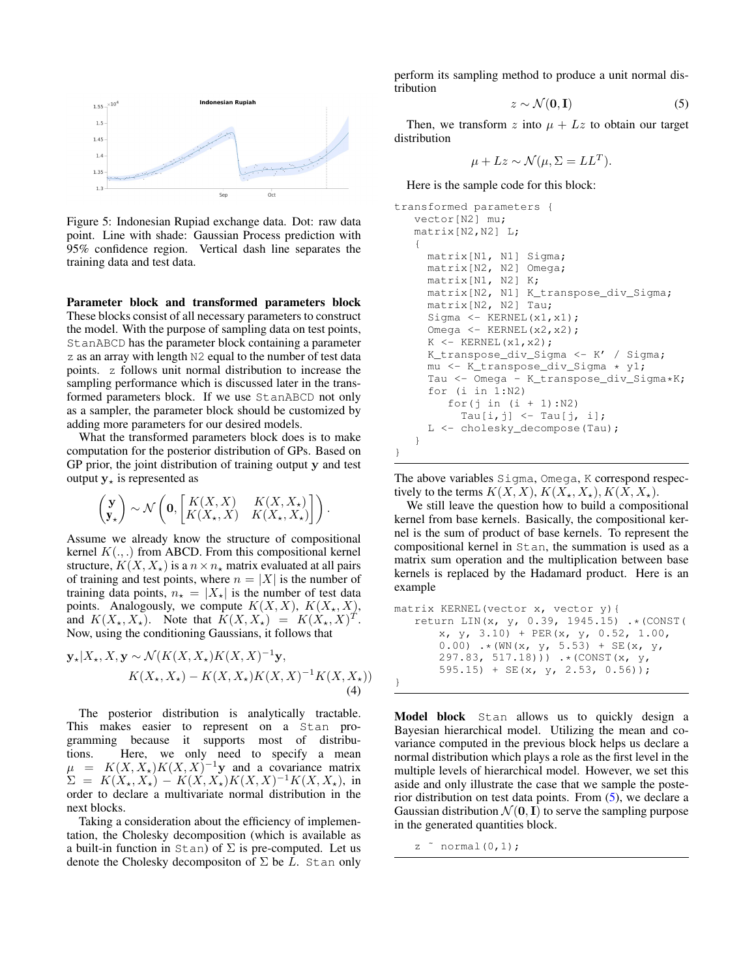<span id="page-4-0"></span>

Figure 5: Indonesian Rupiad exchange data. Dot: raw data point. Line with shade: Gaussian Process prediction with 95% confidence region. Vertical dash line separates the training data and test data.

Parameter block and transformed parameters block These blocks consist of all necessary parameters to construct the model. With the purpose of sampling data on test points, StanABCD has the parameter block containing a parameter z as an array with length N2 equal to the number of test data points. z follows unit normal distribution to increase the sampling performance which is discussed later in the transformed parameters block. If we use StanABCD not only as a sampler, the parameter block should be customized by adding more parameters for our desired models.

What the transformed parameters block does is to make computation for the posterior distribution of GPs. Based on GP prior, the joint distribution of training output y and test output  $y<sub>*</sub>$  is represented as

$$
\begin{pmatrix} \mathbf{y} \\ \mathbf{y}_{\star} \end{pmatrix} \sim \mathcal{N} \left( \mathbf{0}, \begin{bmatrix} K(X,X) & K(X,X_{\star}) \\ K(X_{\star},X) & K(X_{\star},X_{\star}) \end{bmatrix} \right).
$$

Assume we already know the structure of compositional kernel  $K(.,.)$  from ABCD. From this compositional kernel structure,  $K(X, X_*)$  is a  $n \times n_*$  matrix evaluated at all pairs of training and test points, where  $n = |X|$  is the number of training data points,  $n_{\star} = |X_{\star}|$  is the number of test data points. Analogously, we compute  $K(X, X)$ ,  $K(X_*, X)$ , and  $K(X_\star, X_\star)$ . Note that  $K(X, X_\star) = K(X_\star, X)^T$ . Now, using the conditioning Gaussians, it follows that

$$
\mathbf{y}_{\star}|X_{\star}, X, \mathbf{y} \sim \mathcal{N}(K(X, X_{\star})K(X, X)^{-1}\mathbf{y},K(X_{\star}, X_{\star}) - K(X, X_{\star})K(X, X)^{-1}K(X, X_{\star}))
$$
\n(4)

The posterior distribution is analytically tractable. This makes easier to represent on a Stan programming because it supports most of distributions. Here, we only need to specify a mean  $\mu = K(X, X) K(X, X)^{-1}$ y and a covariance matrix  $\Sigma = K(X_*, X_*) - K(X, X_*)K(X, X)^{-1}K(X, X_*),$  in order to declare a multivariate normal distribution in the next blocks.

Taking a consideration about the efficiency of implementation, the Cholesky decomposition (which is available as a built-in function in  $Stan$ ) of  $\Sigma$  is pre-computed. Let us denote the Cholesky decompositon of  $\Sigma$  be L. Stan only

perform its sampling method to produce a unit normal distribution

<span id="page-4-1"></span>
$$
z \sim \mathcal{N}(\mathbf{0}, \mathbf{I}) \tag{5}
$$

Then, we transform z into  $\mu + Lz$  to obtain our target distribution

$$
\mu + Lz \sim \mathcal{N}(\mu, \Sigma = LL^T).
$$

Here is the sample code for this block:

```
transformed parameters {
   vector[N2] mu;
   matrix[N2,N2] L;
   {
     matrix[N1, N1] Sigma;
     matrix[N2, N2] Omega;
     matrix[N1, N2] K;
     matrix[N2, N1] K_transpose_div_Sigma;
     matrix[N2, N2] Tau;
     Sigma <- KERNEL(x1,x1);
     Omega <- KERNEL(x2,x2);
     K \leftarrow KERNEL(x1, x2);
     K_transpose_div_Sigma <- K' / Sigma;
     mu <- K_transpose_div_Sigma * y1;
     Tau <- Omega - K_transpose_div_Sigma*K;
     for (i \text{ in } 1:N2)for(j in (i + 1):N2)
          Tau[i, j] <- Tau[j, i];
     L <- cholesky_decompose(Tau);
   }
```
The above variables Sigma, Omega, K correspond respectively to the terms  $K(X, X)$ ,  $K(X_*, X_*)$ ,  $K(X, X_*)$ .

We still leave the question how to build a compositional kernel from base kernels. Basically, the compositional kernel is the sum of product of base kernels. To represent the compositional kernel in Stan, the summation is used as a matrix sum operation and the multiplication between base kernels is replaced by the Hadamard product. Here is an example

```
matrix KERNEL(vector x, vector y){
   return LIN(x, y, 0.39, 1945.15) .*(CONST(
      x, y, 3.10 + PER(x, y, 0.52, 1.00,
      0.00) \cdot (WN(x, y, 5.53) + SE(x, y,
      297.83, 517.18))) .*(CONST(x, y,
      595.15) + SE(x, y, 2.53, 0.56);
}
```
Model block Stan allows us to quickly design a Bayesian hierarchical model. Utilizing the mean and covariance computed in the previous block helps us declare a normal distribution which plays a role as the first level in the multiple levels of hierarchical model. However, we set this aside and only illustrate the case that we sample the posterior distribution on test data points. From [\(5\)](#page-4-1), we declare a Gaussian distribution  $\mathcal{N}(\mathbf{0}, \mathbf{I})$  to serve the sampling purpose in the generated quantities block.

z ˜ normal(0,1);

}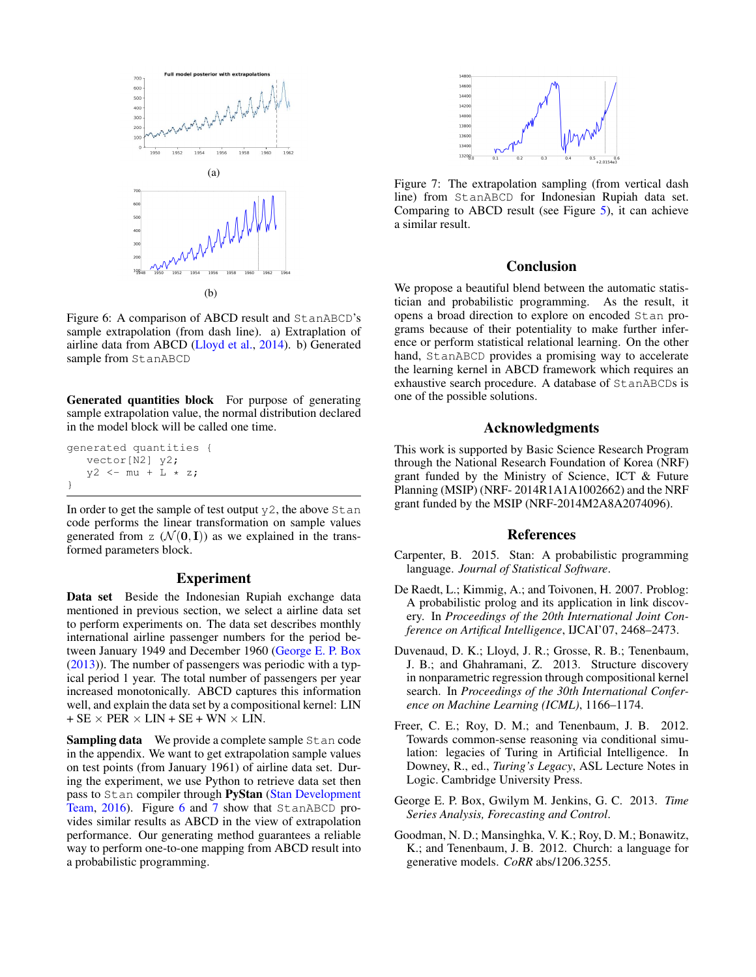<span id="page-5-6"></span>

Figure 6: A comparison of ABCD result and StanABCD's sample extrapolation (from dash line). a) Extraplation of airline data from ABCD [\(Lloyd et al.,](#page-6-4) [2014\)](#page-6-4). b) Generated sample from StanABCD

Generated quantities block For purpose of generating sample extrapolation value, the normal distribution declared in the model block will be called one time.

```
generated quantities {
   vector[N2] y2;
   y2 \le - mu + L \star z;
}
```
In order to get the sample of test output  $y2$ , the above  $Stan$ code performs the linear transformation on sample values generated from z  $(\mathcal{N}(\mathbf{0}, \mathbf{I}))$  as we explained in the transformed parameters block.

### Experiment

Data set Beside the Indonesian Rupiah exchange data mentioned in previous section, we select a airline data set to perform experiments on. The data set describes monthly international airline passenger numbers for the period between January 1949 and December 1960 [\(George E. P. Box](#page-5-5) [\(2013\)](#page-5-5)). The number of passengers was periodic with a typical period 1 year. The total number of passengers per year increased monotonically. ABCD captures this information well, and explain the data set by a compositional kernel: LIN  $+$  SE  $\times$  PER  $\times$  LIN + SE + WN  $\times$  LIN.

Sampling data We provide a complete sample Stan code in the appendix. We want to get extrapolation sample values on test points (from January 1961) of airline data set. During the experiment, we use Python to retrieve data set then pass to Stan compiler through PyStan [\(Stan Development](#page-6-9) [Team,](#page-6-9) [2016\)](#page-6-9). Figure [6](#page-5-6) and [7](#page-5-7) show that StanABCD provides similar results as ABCD in the view of extrapolation performance. Our generating method guarantees a reliable way to perform one-to-one mapping from ABCD result into a probabilistic programming.

<span id="page-5-7"></span>

Figure 7: The extrapolation sampling (from vertical dash line) from StanABCD for Indonesian Rupiah data set. Comparing to ABCD result (see Figure [5\)](#page-4-0), it can achieve a similar result.

## Conclusion

We propose a beautiful blend between the automatic statistician and probabilistic programming. As the result, it opens a broad direction to explore on encoded Stan programs because of their potentiality to make further inference or perform statistical relational learning. On the other hand, StanABCD provides a promising way to accelerate the learning kernel in ABCD framework which requires an exhaustive search procedure. A database of StanABCDs is one of the possible solutions.

## Acknowledgments

This work is supported by Basic Science Research Program through the National Research Foundation of Korea (NRF) grant funded by the Ministry of Science, ICT & Future Planning (MSIP) (NRF- 2014R1A1A1002662) and the NRF grant funded by the MSIP (NRF-2014M2A8A2074096).

### References

- <span id="page-5-3"></span>Carpenter, B. 2015. Stan: A probabilistic programming language. *Journal of Statistical Software*.
- <span id="page-5-2"></span>De Raedt, L.; Kimmig, A.; and Toivonen, H. 2007. Problog: A probabilistic prolog and its application in link discovery. In *Proceedings of the 20th International Joint Conference on Artifical Intelligence*, IJCAI'07, 2468–2473.
- <span id="page-5-4"></span>Duvenaud, D. K.; Lloyd, J. R.; Grosse, R. B.; Tenenbaum, J. B.; and Ghahramani, Z. 2013. Structure discovery in nonparametric regression through compositional kernel search. In *Proceedings of the 30th International Conference on Machine Learning (ICML)*, 1166–1174.
- <span id="page-5-0"></span>Freer, C. E.; Roy, D. M.; and Tenenbaum, J. B. 2012. Towards common-sense reasoning via conditional simulation: legacies of Turing in Artificial Intelligence. In Downey, R., ed., *Turing's Legacy*, ASL Lecture Notes in Logic. Cambridge University Press.
- <span id="page-5-5"></span>George E. P. Box, Gwilym M. Jenkins, G. C. 2013. *Time Series Analysis, Forecasting and Control*.
- <span id="page-5-1"></span>Goodman, N. D.; Mansinghka, V. K.; Roy, D. M.; Bonawitz, K.; and Tenenbaum, J. B. 2012. Church: a language for generative models. *CoRR* abs/1206.3255.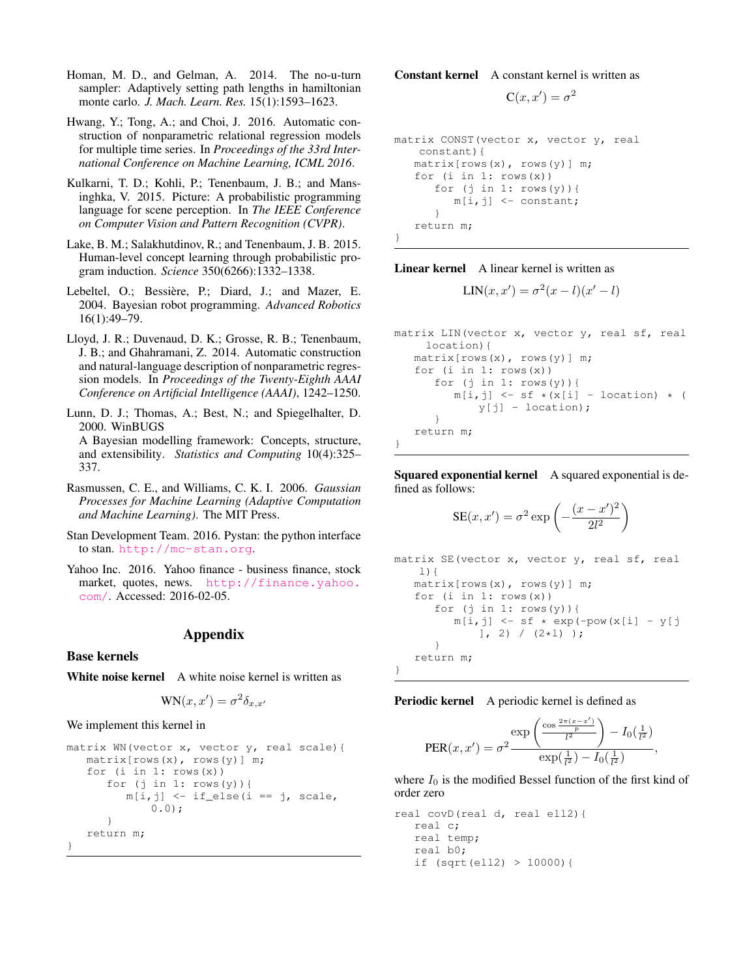- <span id="page-6-7"></span>Homan, M. D., and Gelman, A. 2014. The no-u-turn sampler: Adaptively setting path lengths in hamiltonian monte carlo. *J. Mach. Learn. Res.* 15(1):1593–1623.
- <span id="page-6-5"></span>Hwang, Y.; Tong, A.; and Choi, J. 2016. Automatic construction of nonparametric relational regression models for multiple time series. In *Proceedings of the 33rd International Conference on Machine Learning, ICML 2016*.
- <span id="page-6-1"></span>Kulkarni, T. D.; Kohli, P.; Tenenbaum, J. B.; and Mansinghka, V. 2015. Picture: A probabilistic programming language for scene perception. In *The IEEE Conference on Computer Vision and Pattern Recognition (CVPR)*.
- <span id="page-6-2"></span>Lake, B. M.; Salakhutdinov, R.; and Tenenbaum, J. B. 2015. Human-level concept learning through probabilistic program induction. *Science* 350(6266):1332–1338.
- <span id="page-6-0"></span>Lebeltel, O.; Bessière, P.; Diard, J.; and Mazer, E. 2004. Bayesian robot programming. *Advanced Robotics* 16(1):49–79.
- <span id="page-6-4"></span>Lloyd, J. R.; Duvenaud, D. K.; Grosse, R. B.; Tenenbaum, J. B.; and Ghahramani, Z. 2014. Automatic construction and natural-language description of nonparametric regression models. In *Proceedings of the Twenty-Eighth AAAI Conference on Artificial Intelligence (AAAI)*, 1242–1250.

<span id="page-6-3"></span>Lunn, D. J.; Thomas, A.; Best, N.; and Spiegelhalter, D. 2000. WinBUGS A Bayesian modelling framework: Concepts, structure, and extensibility. *Statistics and Computing* 10(4):325– 337.

- <span id="page-6-6"></span>Rasmussen, C. E., and Williams, C. K. I. 2006. *Gaussian Processes for Machine Learning (Adaptive Computation and Machine Learning)*. The MIT Press.
- <span id="page-6-9"></span>Stan Development Team. 2016. Pystan: the python interface to stan. <http://mc-stan.org>.
- <span id="page-6-8"></span>Yahoo Inc. 2016. Yahoo finance - business finance, stock market, quotes, news. [http://finance.yahoo.](http://finance.yahoo.com/) [com/](http://finance.yahoo.com/). Accessed: 2016-02-05.

## Appendix

Base kernels

White noise kernel A white noise kernel is written as

$$
WN(x, x') = \sigma^2 \delta_{x, x'}
$$

We implement this kernel in

```
matrix WN(vector x, vector y, real scale){
   matrix[rows(x), rows(y)] m;
   for (i \text{ in } 1: \text{rows}(x))for (j in 1: rows(y)) {
          m[i, j] <- if else(i == j, scale,
              0.0;}
   return m;
}
```
Constant kernel A constant kernel is written as

 $C(x, x') = \sigma^2$ 

```
matrix CONST(vector x, vector y, real
   constant){
   matrix[rows(x), rows(y)] m;
   for (i in 1: rows(x))for (j in 1: rows(y)) {
         m[i,j] <- constant;
      }
   return m;
}
```
Linear kernel A linear kernel is written as

$$
LIN(x, x') = \sigma^{2}(x - l)(x' - l)
$$

matrix LIN(vector x, vector y, real sf, real location){ matrix[rows(x), rows(y)] m; for  $(i \text{ in } 1: \text{rows}(x))$ for (j in  $1: rows(y)$ ) {  $m[i,j] \leq s f \cdot (x[i] - location) \cdot ($ y[j] - location); } return m; }

Squared exponential kernel A squared exponential is defined as follows:

$$
SE(x, x') = \sigma^2 \exp\left(-\frac{(x - x')^2}{2l^2}\right)
$$

```
matrix SE(vector x, vector y, real sf, real
    1) {
   matrix[rows(x), rows(y)] m;
   for (i in 1: rows(x))
      for (j in 1: rows(y)) {
          m[i, j] \leq - s f \times exp(-pow(x[i] - y[j]))], 2) / (2 \times 1);
       }
   return m;
}
```
Periodic kernel A periodic kernel is defined as

$$
PER(x, x') = \sigma^2 \frac{\exp\left(\frac{\cos \frac{2\pi (x - x')}{p}}{l^2}\right) - I_0(\frac{1}{l^2})}{\exp(\frac{1}{l^2}) - I_0(\frac{1}{l^2})}
$$

,

where  $I_0$  is the modified Bessel function of the first kind of order zero

real covD(real d, real ell2){ real c; real temp; real b0; if (sqrt(ell2) > 10000){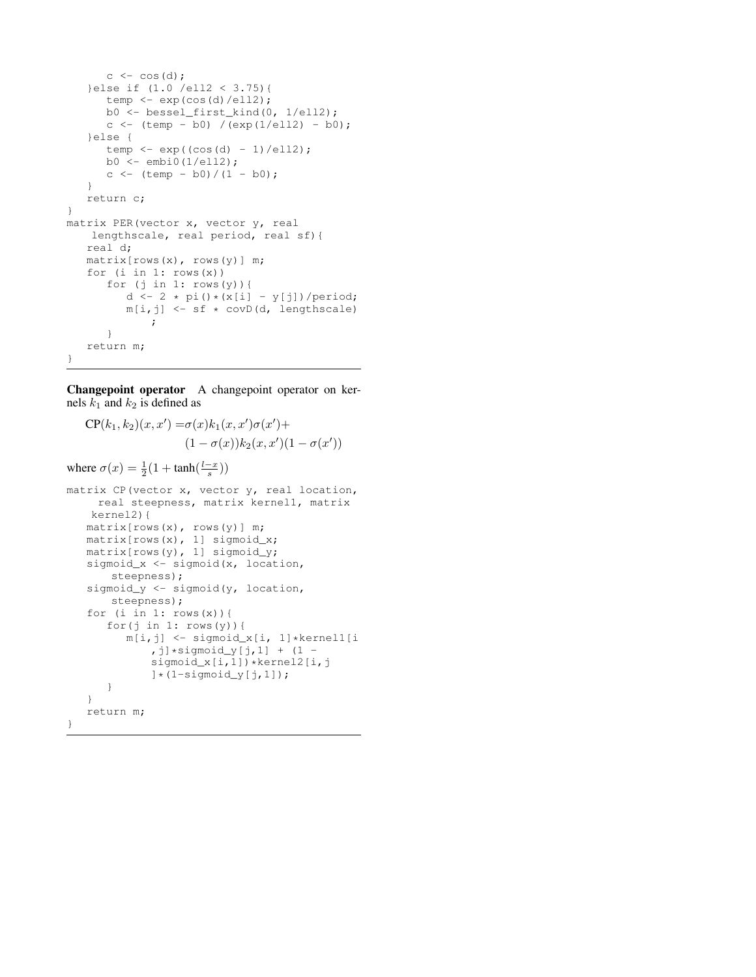```
c \leftarrow \cos(d);
   }else if (1.0 /ell2 < 3.75){
      temp \leftarrow exp(cos(d)/ell2);
      b0 <- bessel_first_kind(0, 1/ell2);
      c <- (\text{temp} - \text{b0}) /(exp(1/ell2) - b0);
   }else {
      temp \leftarrow exp((cos(d) - 1)/ell2);b0 <- embi0(1/ell2);c \leftarrow (temp - b0)/(1 - b0);
   }
   return c;
}
matrix PER(vector x, vector y, real
   lengthscale, real period, real sf){
   real d;
   matrix[rows(x), rows(y)] m;
   for (i in 1: rows(x))for (j in 1: rows(y)){
          d \leftarrow 2 * pi()*(x[i] - y[j])/period;
          m[i, j] <- sf * covD(d, lengthscale)
              ;
       }
   return m;
}
```
Changepoint operator A changepoint operator on kernels  $k_1$  and  $k_2$  is defined as

$$
CP(k_1, k_2)(x, x') = \sigma(x)k_1(x, x')\sigma(x') +
$$

$$
(1 - \sigma(x))k_2(x, x')(1 - \sigma(x'))
$$
where  $\sigma(x) = \frac{1}{2}(1 + \tanh(\frac{l-x}{s}))$   
matrix CP(vector x, vector y, real location, real steepness, matrix kernel1, matrix  $kerell2$ )  
matrix[rows(x), rows(y)] m;  
matrix[rows(x), 1] sigmoid\_x;  
matrix[rows(y), 1] sigmoid\_x;  
matrix[rows(y), 1] sigmoid\_y;  
sigmoid\_x <- sigmoid(x, location, steepness);  
sigmoid\_y <- sigmoid(y, location, steepness);  
for (i in 1: rows(x)) {\n for (j in 1: rows(y)) {\n m[i,j] <- sigmoid\_x[i, 1]\*kernel1[i\n ,j]\*sigmoid\_y[j,1] + (1 -  
sigmoid\_x[i,1]) \*kernel2[i,j\n ] \* (1-sigmoid\_y[j,1]);  
}\n}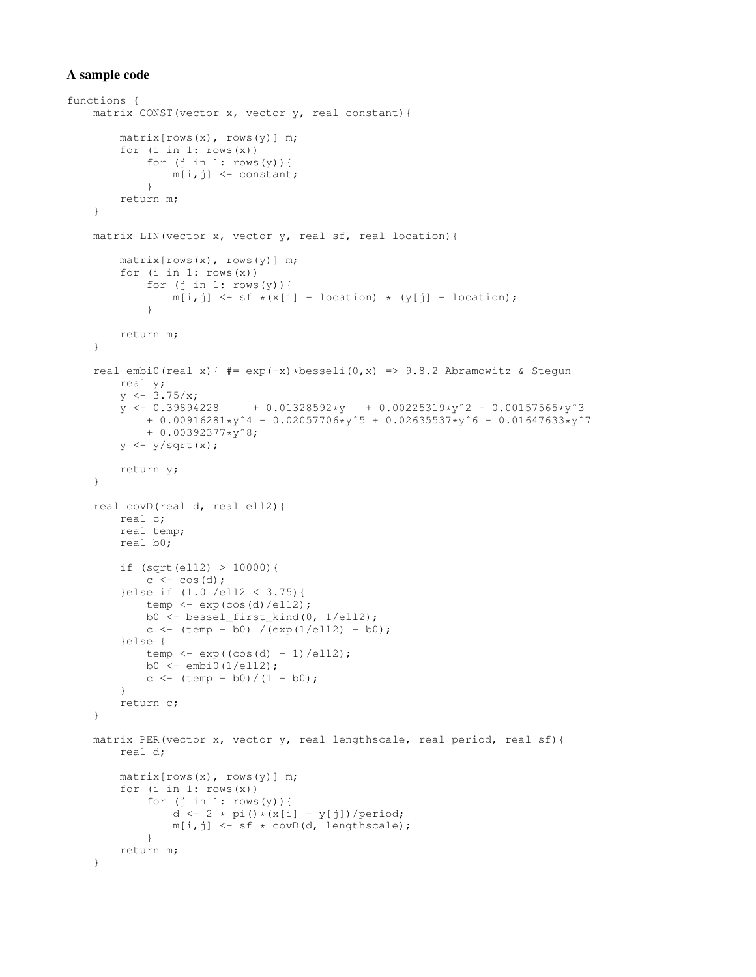## A sample code

```
functions {
    matrix CONST(vector x, vector y, real constant){
        matrix[rows(x), rows(y)] m;
         for (i in 1: rows(x))
             for (j in 1: rows(y)) {
                 m[i,j] <- constant;
             }
        return m;
    }
    matrix LIN(vector x, vector y, real sf, real location){
        matrix[rows(x), rows(y)] m;
        for (i in 1: rows(x))
             for (j in 1: rows(y)) {
                  m[i, j] \leq s f \times (x[i] - location) \times (y[j] - location);}
        return m;
    }
    real embi0(real x){ \# = \exp(-x) * \text{besseli}(0,x) => 9.8.2 Abramowitz & Stegun
        real y;
        y \leftarrow 3.75/x;<br>y \leftarrow 0.39894228+ 0.01328592*y + 0.00225319*y^2 - 0.00157565*y^3+ 0.00916281*y^4 - 0.02057706*y^5 + 0.02635537*y^6 - 0.01647633*y^7+ 0.00392377*yˆ8;
         y \leftarrow y / \sqrt{sqrt(x)};return y;
    }
    real covD(real d, real ell2){
        real c;
        real temp;
        real b0;
         if (sqrt(ell2) > 10000){
             c \leftarrow \cos(d);
         }else if (1.0 /ell2 < 3.75){
             temp <- exp(cos(d)/ell2);
             b0 <- bessel_first_kind(0, 1/ell2);
             c <- (\text{temp} - \text{b0}) / (\text{exp}(1/\text{el12}) - \text{b0});}else {
             temp \leftarrow exp((cos(d) - 1)/ell2);b0 \leftarrow \text{embi0(1/ell2)};c <- (temp - b0)/(1 - b0);
         }
         return c;
    }
    matrix PER(vector x, vector y, real lengthscale, real period, real sf){
        real d;
        matrix[rows(x), rows(y)] m;
         for (i in 1: rows(x))
             for (j in 1: rows(y)) {
                  d \leftarrow 2 * pi()*(x[i] - y[j])/period;
                  m[i,j] \leq s f \times covD(d, lengthscale);}
        return m;
    }
```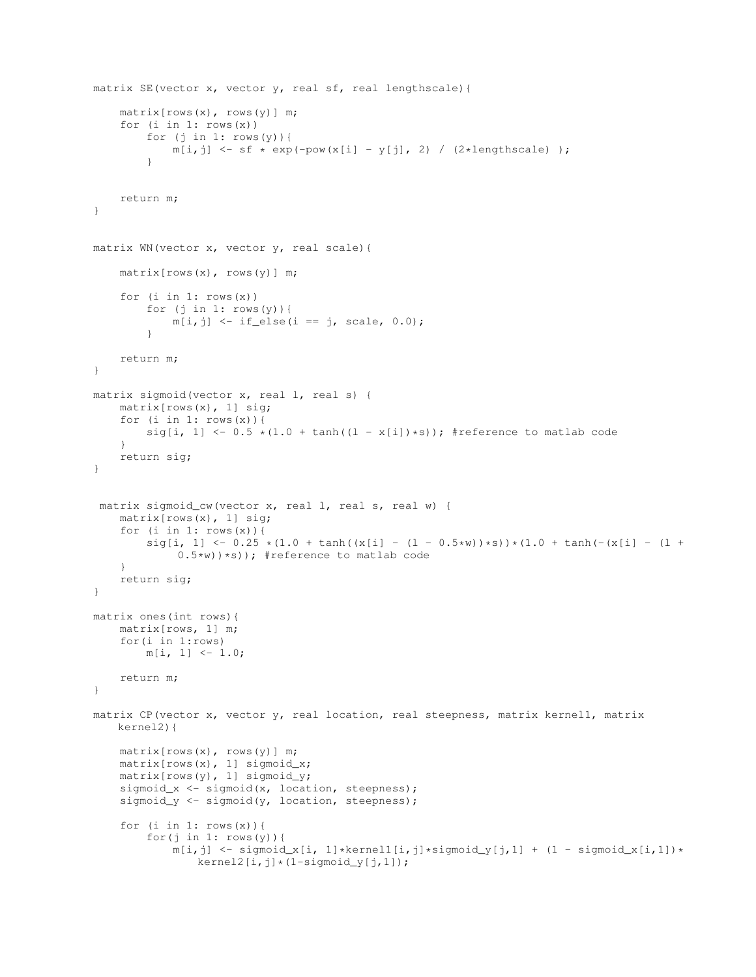```
matrix SE(vector x, vector y, real sf, real lengthscale){
    matrix[rows(x), rows(y)] m;
    for (i in 1: rows(x))
         for (j in 1: rows(y)) {
             m[i,j] \leftarrow sf * exp(-pow(x[i] - y[j], 2) / (2*lengthscale) );
         }
    return m;
}
matrix WN(vector x, vector y, real scale){
    matrix[rows(x), rows(y)] m;
    for (i \text{ in } 1: \text{rows}(x))for (j in 1: rows(y)) {
             m[i, j] <- if_else(i == j, scale, 0.0);
         }
    return m;
}
matrix sigmoid(vector x, real l, real s) {
    matrix[rows(x), 1] sig;
    for (i \text{ in } 1: \text{rows}(x)) {
        sig[i, 1] \leq -0.5 \times (1.0 + \tanh((1 - x[i]) \cdot s)); #reference to matlab code
    }
    return sig;
}
 matrix sigmoid_cw(vector x, real l, real s, real w) {
    matrix[rows(x), 1] sig;
    for (i in 1: rows(x)) {
         sig[i, 1] < -0.25 * (1.0 + tanh((x[i] - (1 - 0.5*w))*s)) * (1.0 + tanh(-(x[i] - (1 + 0.5tw))))0.5*w)) *s)); #reference to matlab code
    }
    return sig;
}
matrix ones(int rows){
    matrix[rows, 1] m;
    for(i in 1:rows)
        m[i, 1] <- 1.0;
    return m;
}
matrix CP(vector x, vector y, real location, real steepness, matrix kernel1, matrix
   kernel2){
    matrix[rows(x), rows(y)] m;
    matrix[rows(x), 1] sigmoid_x;
    matrix[rows(y), 1] sigmoid_y;
    sigmoid_x <- sigmoid(x, location, steepness);
    sigmoid_y <- sigmoid(y, location, steepness);
    for (i in 1: rows(x)) {
         for(j in 1: rows(y)){
             m[i,j] \leftarrow sigmoid_x[i, 1]*\text{kernel1}[i,j]*\text{sigmoid_y}[j,1] + (1 - sigmoid_x[i,1])*\text{kernel2}[i,j]*(1-sigmoid_y[j,1]);
```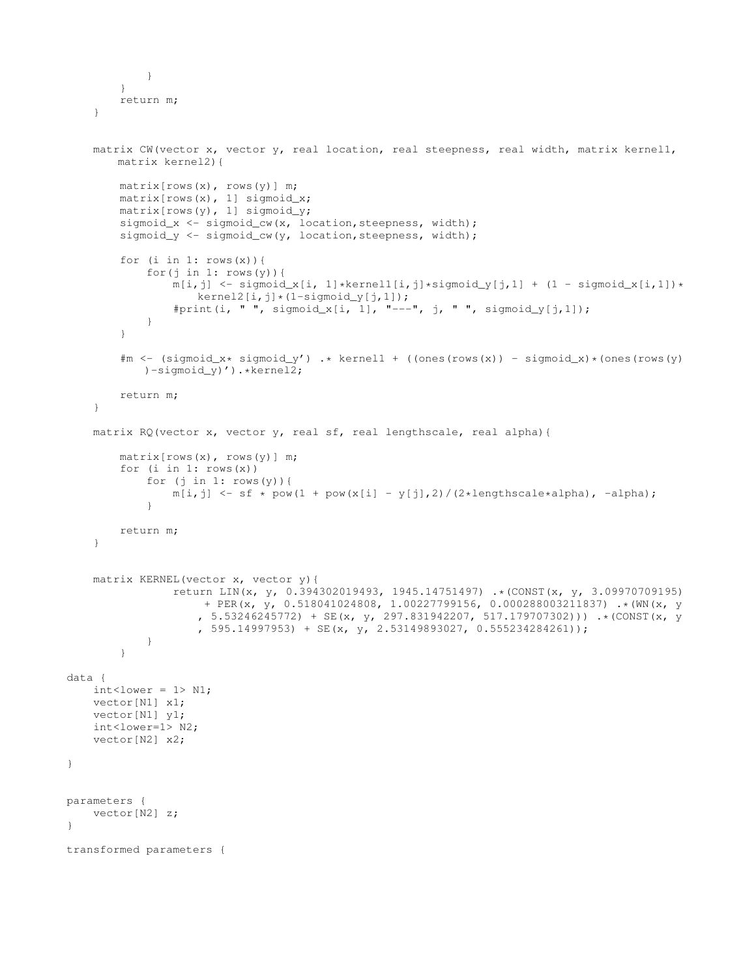```
}
        }
        return m;
    }
    matrix CW(vector x, vector y, real location, real steepness, real width, matrix kernel1,
        matrix kernel2){
        matrix[rows(x), rows(y)] m;
        matrix[rows(x), 1] sigmoid_x;
        matrix[rows(y), 1] sigmoid_y;
        sigmoid_x <- sigmoid_cw(x, location, steepness, width);
        sigmoid_y <- sigmoid_cw(y, location, steepness, width);
        for (i in 1: rows(x)) {
             for(j in 1: rows(y)){
                 m[i,j] \leftarrow sigmoid_x[i, 1]*\text{kernell}[i,j]*\text{sigmoid}_y[j,1] + (1 - sigmoid_x[i,1))*\text{check}(i,j))kernel2[i,j]*(1-sigmoid_y[j,1]);
                 #print(i, " ", sigmoid_x[i, 1], "---", j, " ", sigmoid_y[j,1]);
             }
        }
        \text{#m} \leftarrow (sigmoid_x* sigmoid_y') .* kernell + ((ones(rows(x)) - sigmoid_x)*(ones(rows(y))
            )-sigmoid_y)').*kernel2;
        return m;
    }
    matrix RQ(vector x, vector y, real sf, real lengthscale, real alpha){
        matrix[rows(x), rows(y)] m;
        for (i \text{ in } 1: \text{ rows}(x))for (j in 1: rows(y)) {
                 m[i,j] \leftarrow sf * pow(1 + pow(x[i] - y[j],2) / (2*lengthscale*alpha), -alpha);}
        return m;
    }
    matrix KERNEL(vector x, vector y){
                 return LIN(x, y, 0.394302019493, 1945.14751497) .* (CONST(x, y, 3.09970709195)
                      + PER(x, y, 0.518041024808, 1.00227799156, 0.000288003211837) .*(WN(x, y
                     , 5.53246245772) + SE(x, y, 297.831942207, 517.179707302))) .*(CONST(x, y
                     , 595.14997953) + SE(x, \overline{y}, 2.53149893027, 0.555234284261));
             }
         }
data {
    int < lower = 1> N1;
    vector[N1] x1;
    vector[N1] y1;
    int<lower=1> N2;
    vector[N2] x2;
parameters {
    vector[N2] z;
transformed parameters {
```
}

}